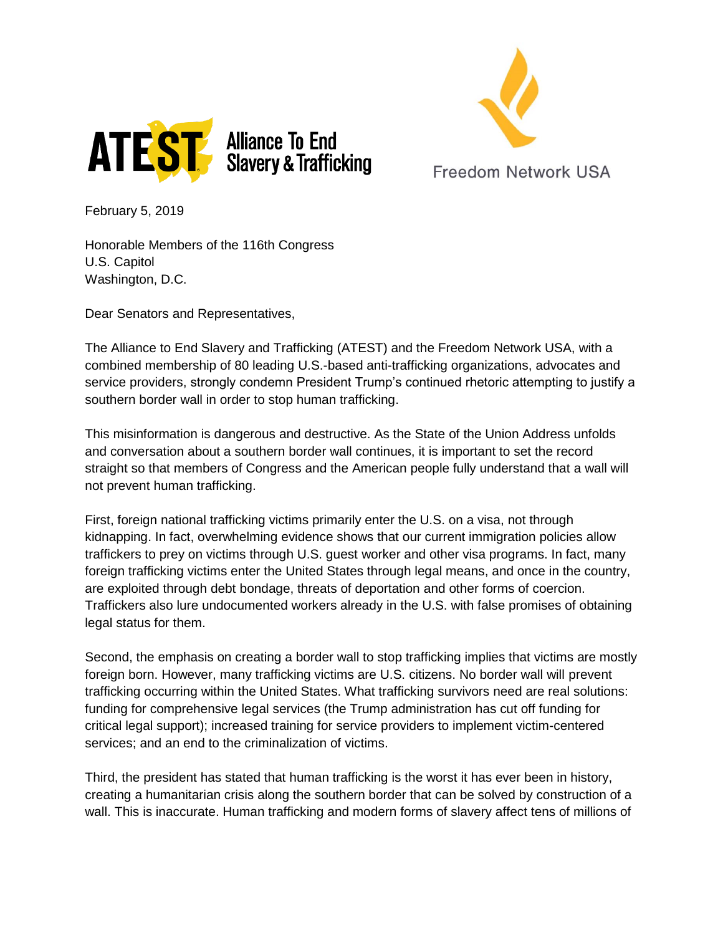



**Freedom Network USA** 

February 5, 2019

Honorable Members of the 116th Congress U.S. Capitol Washington, D.C.

Dear Senators and Representatives,

The Alliance to End Slavery and Trafficking (ATEST) and the Freedom Network USA, with a combined membership of 80 leading U.S.-based anti-trafficking organizations, advocates and service providers, strongly condemn President Trump's continued rhetoric attempting to justify a southern border wall in order to stop human trafficking.

This misinformation is dangerous and destructive. As the State of the Union Address unfolds and conversation about a southern border wall continues, it is important to set the record straight so that members of Congress and the American people fully understand that a wall will not prevent human trafficking.

First, foreign national trafficking victims primarily enter the U.S. on a visa, not through kidnapping. In fact, overwhelming evidence shows that our current immigration policies allow traffickers to prey on victims through U.S. guest worker and other visa programs. In fact, many foreign trafficking victims enter the United States through legal means, and once in the country, are exploited through debt bondage, threats of deportation and other forms of coercion. Traffickers also lure undocumented workers already in the U.S. with false promises of obtaining legal status for them.

Second, the emphasis on creating a border wall to stop trafficking implies that victims are mostly foreign born. However, many trafficking victims are U.S. citizens. No border wall will prevent trafficking occurring within the United States. What trafficking survivors need are real solutions: funding for comprehensive legal services (the Trump administration has cut off funding for critical legal support); increased training for service providers to implement victim-centered services; and an end to the criminalization of victims.

Third, the president has stated that human trafficking is the worst it has ever been in history, creating a humanitarian crisis along the southern border that can be solved by construction of a wall. This is inaccurate. Human trafficking and modern forms of slavery affect tens of millions of